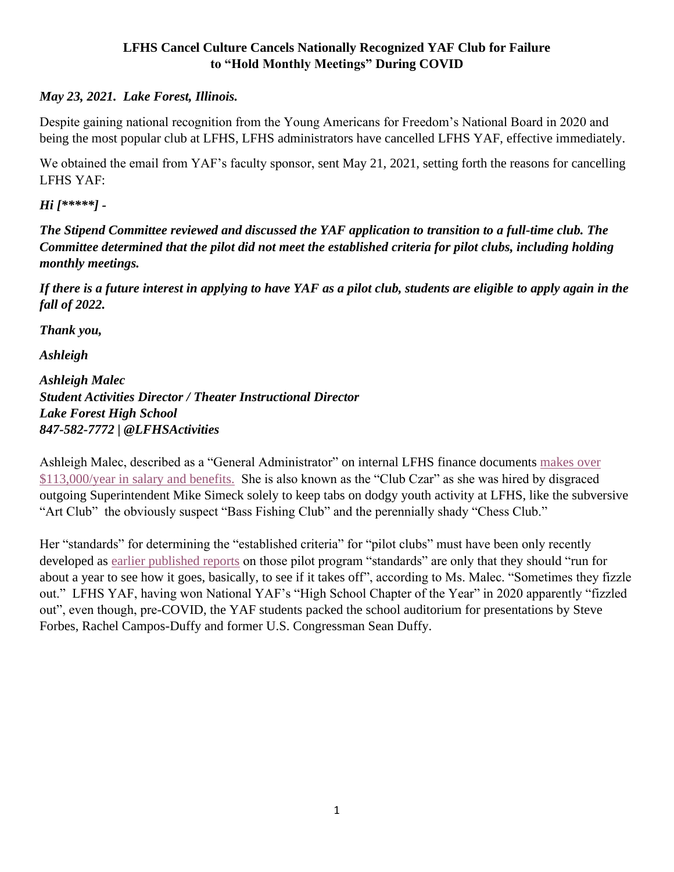## **LFHS Cancel Culture Cancels Nationally Recognized YAF Club for Failure to "Hold Monthly Meetings" During COVID**

## *May 23, 2021. Lake Forest, Illinois.*

Despite gaining national recognition from the Young Americans for Freedom's National Board in 2020 and being the most popular club at LFHS, LFHS administrators have cancelled LFHS YAF, effective immediately.

We obtained the email from YAF's faculty sponsor, sent May 21, 2021, setting forth the reasons for cancelling LFHS YAF:

## *Hi [\*\*\*\*\*] -*

*The Stipend Committee reviewed and discussed the YAF application to transition to a full-time club. The Committee determined that the pilot did not meet the established criteria for pilot clubs, including holding monthly meetings.*

*If there is a future interest in applying to have YAF as a pilot club, students are eligible to apply again in the fall of 2022.*

*Thank you,*

*Ashleigh*

*Ashleigh Malec Student Activities Director / Theater Instructional Director Lake Forest High School 847-582-7772 | @LFHSActivities*

Ashleigh Malec, described as a "General Administrator" on internal LFHS finance documents [makes over](https://drive.google.com/drive/folders/1XMmZmCFT4BcK_Dq_sLNRP38GbvMSA43t)  [\\$113,000/year in salary and benefits.](https://drive.google.com/drive/folders/1XMmZmCFT4BcK_Dq_sLNRP38GbvMSA43t) She is also known as the "Club Czar" as she was hired by disgraced outgoing Superintendent Mike Simeck solely to keep tabs on dodgy youth activity at LFHS, like the subversive "Art Club" the obviously suspect "Bass Fishing Club" and the perennially shady "Chess Club."

Her "standards" for determining the "established criteria" for "pilot clubs" must have been only recently developed as [earlier published reports](https://theforestscout.com/18931/in-lfhs/despite-controversy-conservative-club-continues-campaign/) on those pilot program "standards" are only that they should "run for about a year to see how it goes, basically, to see if it takes off", according to Ms. Malec. "Sometimes they fizzle out." LFHS YAF, having won National YAF's "High School Chapter of the Year" in 2020 apparently "fizzled out", even though, pre-COVID, the YAF students packed the school auditorium for presentations by Steve Forbes, Rachel Campos-Duffy and former U.S. Congressman Sean Duffy.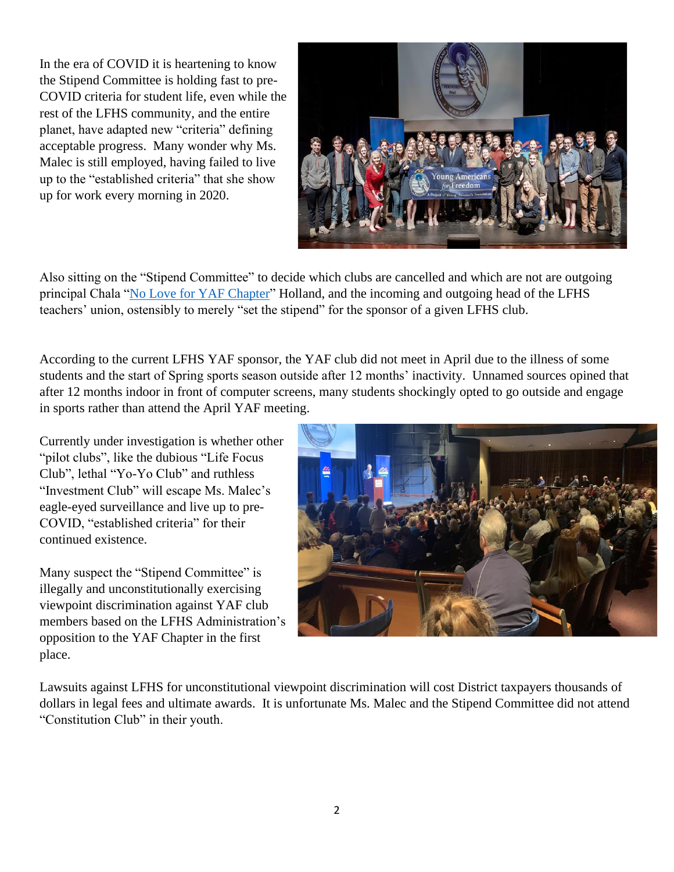In the era of COVID it is heartening to know the Stipend Committee is holding fast to pre-COVID criteria for student life, even while the rest of the LFHS community, and the entire planet, have adapted new "criteria" defining acceptable progress. Many wonder why Ms. Malec is still employed, having failed to live up to the "established criteria" that she show up for work every morning in 2020.



Also sitting on the "Stipend Committee" to decide which clubs are cancelled and which are not are outgoing principal Chala ["No Love for YAF Chapter"](https://www.youtube.com/watch?v=TJOPxE-nwZI) Holland, and the incoming and outgoing head of the LFHS teachers' union, ostensibly to merely "set the stipend" for the sponsor of a given LFHS club.

According to the current LFHS YAF sponsor, the YAF club did not meet in April due to the illness of some students and the start of Spring sports season outside after 12 months' inactivity. Unnamed sources opined that after 12 months indoor in front of computer screens, many students shockingly opted to go outside and engage in sports rather than attend the April YAF meeting.

Currently under investigation is whether other "pilot clubs", like the dubious "Life Focus Club", lethal "Yo-Yo Club" and ruthless "Investment Club" will escape Ms. Malec's eagle-eyed surveillance and live up to pre-COVID, "established criteria" for their continued existence.

Many suspect the "Stipend Committee" is illegally and unconstitutionally exercising viewpoint discrimination against YAF club members based on the LFHS Administration's opposition to the YAF Chapter in the first place.



Lawsuits against LFHS for unconstitutional viewpoint discrimination will cost District taxpayers thousands of dollars in legal fees and ultimate awards. It is unfortunate Ms. Malec and the Stipend Committee did not attend "Constitution Club" in their youth.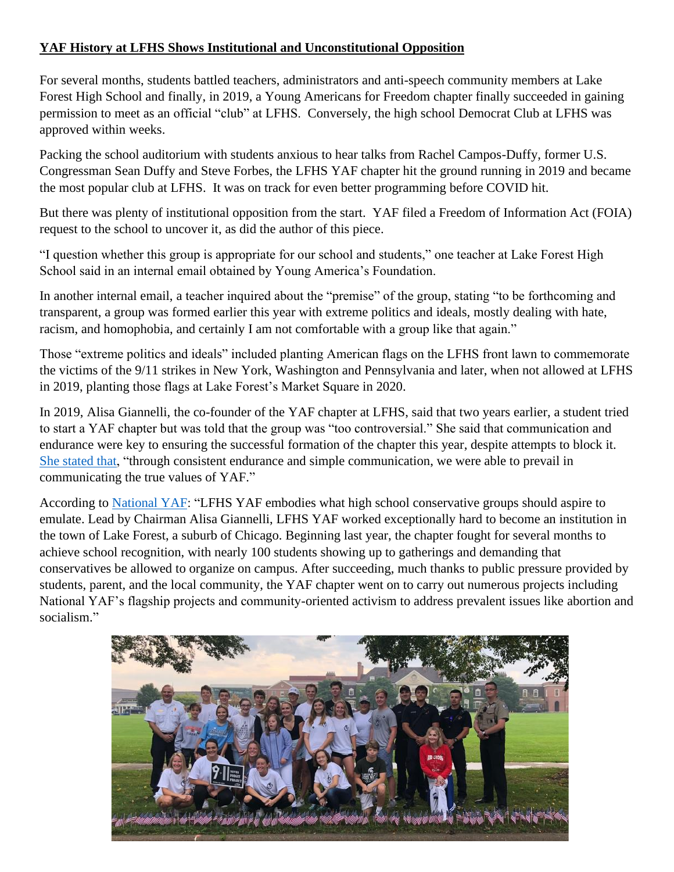## **YAF History at LFHS Shows Institutional and Unconstitutional Opposition**

For several months, students battled teachers, administrators and anti-speech community members at Lake Forest High School and finally, in 2019, a Young Americans for Freedom chapter finally succeeded in gaining permission to meet as an official "club" at LFHS. Conversely, the high school Democrat Club at LFHS was approved within weeks.

Packing the school auditorium with students anxious to hear talks from Rachel Campos-Duffy, former U.S. Congressman Sean Duffy and Steve Forbes, the LFHS YAF chapter hit the ground running in 2019 and became the most popular club at LFHS. It was on track for even better programming before COVID hit.

But there was plenty of institutional opposition from the start. YAF filed a Freedom of Information Act (FOIA) request to the school to uncover it, as did the author of this piece.

"I question whether this group is appropriate for our school and students," one teacher at Lake Forest High School said in an internal email obtained by Young America's Foundation.

In another internal email, a teacher inquired about the "premise" of the group, stating "to be forthcoming and transparent, a group was formed earlier this year with extreme politics and ideals, mostly dealing with hate, racism, and homophobia, and certainly I am not comfortable with a group like that again."

Those "extreme politics and ideals" included planting American flags on the LFHS front lawn to commemorate the victims of the 9/11 strikes in New York, Washington and Pennsylvania and later, when not allowed at LFHS in 2019, planting those flags at Lake Forest's Market Square in 2020.

In 2019, Alisa Giannelli, the co-founder of the YAF chapter at LFHS, said that two years earlier, a student tried to start a YAF chapter but was told that the group was "too controversial." She said that communication and endurance were key to ensuring the successful formation of the chapter this year, despite attempts to block it. [She stated that,](https://www.yaf.org/news/after-months-of-battling-administrators-lake-forest-high-school-yaf-chapter-gets-recognition/) "through consistent endurance and simple communication, we were able to prevail in communicating the true values of YAF."

According to [National YAF:](https://www.yaf.org/?s=lfhs) "LFHS YAF embodies what high school conservative groups should aspire to emulate. Lead by Chairman Alisa Giannelli, LFHS YAF worked exceptionally hard to become an institution in the town of Lake Forest, a suburb of Chicago. Beginning last year, the chapter fought for several months to achieve school recognition, with nearly 100 students showing up to gatherings and demanding that conservatives be allowed to organize on campus. After succeeding, much thanks to public pressure provided by students, parent, and the local community, the YAF chapter went on to carry out numerous projects including National YAF's flagship projects and community-oriented activism to address prevalent issues like abortion and socialism."